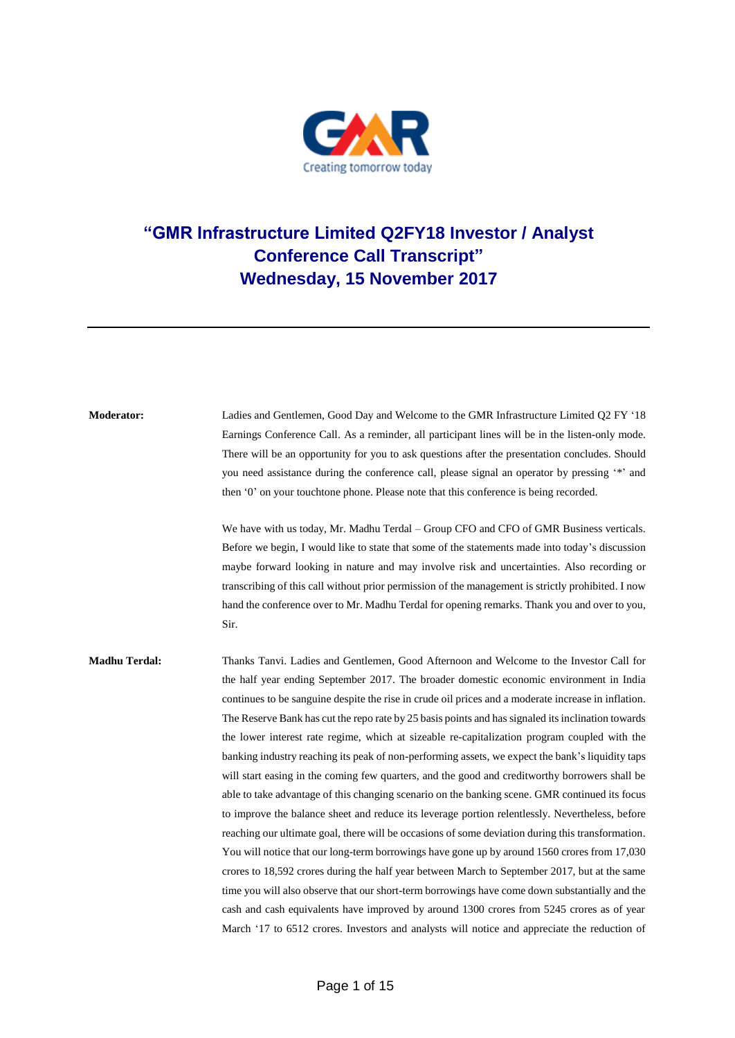

## **"GMR Infrastructure Limited Q2FY18 Investor / Analyst Conference Call Transcript" Wednesday, 15 November 2017**

| <b>Moderator:</b>    | Ladies and Gentlemen, Good Day and Welcome to the GMR Infrastructure Limited Q2 FY '18<br>Earnings Conference Call. As a reminder, all participant lines will be in the listen-only mode.<br>There will be an opportunity for you to ask questions after the presentation concludes. Should<br>you need assistance during the conference call, please signal an operator by pressing '*' and                                                                                                                                                                                                                                                                                                                                                                                                                                                                                                                                                                                                                                                                                                                                                                                                                                                                                                                                                                                                                                                                                                                    |
|----------------------|-----------------------------------------------------------------------------------------------------------------------------------------------------------------------------------------------------------------------------------------------------------------------------------------------------------------------------------------------------------------------------------------------------------------------------------------------------------------------------------------------------------------------------------------------------------------------------------------------------------------------------------------------------------------------------------------------------------------------------------------------------------------------------------------------------------------------------------------------------------------------------------------------------------------------------------------------------------------------------------------------------------------------------------------------------------------------------------------------------------------------------------------------------------------------------------------------------------------------------------------------------------------------------------------------------------------------------------------------------------------------------------------------------------------------------------------------------------------------------------------------------------------|
|                      | then '0' on your touchtone phone. Please note that this conference is being recorded.                                                                                                                                                                                                                                                                                                                                                                                                                                                                                                                                                                                                                                                                                                                                                                                                                                                                                                                                                                                                                                                                                                                                                                                                                                                                                                                                                                                                                           |
|                      | We have with us today, Mr. Madhu Terdal – Group CFO and CFO of GMR Business verticals.<br>Before we begin, I would like to state that some of the statements made into today's discussion<br>maybe forward looking in nature and may involve risk and uncertainties. Also recording or<br>transcribing of this call without prior permission of the management is strictly prohibited. I now<br>hand the conference over to Mr. Madhu Terdal for opening remarks. Thank you and over to you,<br>Sir.                                                                                                                                                                                                                                                                                                                                                                                                                                                                                                                                                                                                                                                                                                                                                                                                                                                                                                                                                                                                            |
| <b>Madhu Terdal:</b> | Thanks Tanvi. Ladies and Gentlemen, Good Afternoon and Welcome to the Investor Call for<br>the half year ending September 2017. The broader domestic economic environment in India<br>continues to be sanguine despite the rise in crude oil prices and a moderate increase in inflation.<br>The Reserve Bank has cut the repo rate by 25 basis points and has signaled its inclination towards<br>the lower interest rate regime, which at sizeable re-capitalization program coupled with the<br>banking industry reaching its peak of non-performing assets, we expect the bank's liquidity taps<br>will start easing in the coming few quarters, and the good and creditworthy borrowers shall be<br>able to take advantage of this changing scenario on the banking scene. GMR continued its focus<br>to improve the balance sheet and reduce its leverage portion relentlessly. Nevertheless, before<br>reaching our ultimate goal, there will be occasions of some deviation during this transformation.<br>You will notice that our long-term borrowings have gone up by around 1560 crores from 17,030<br>crores to 18,592 crores during the half year between March to September 2017, but at the same<br>time you will also observe that our short-term borrowings have come down substantially and the<br>cash and cash equivalents have improved by around 1300 crores from 5245 crores as of year<br>March '17 to 6512 crores. Investors and analysts will notice and appreciate the reduction of |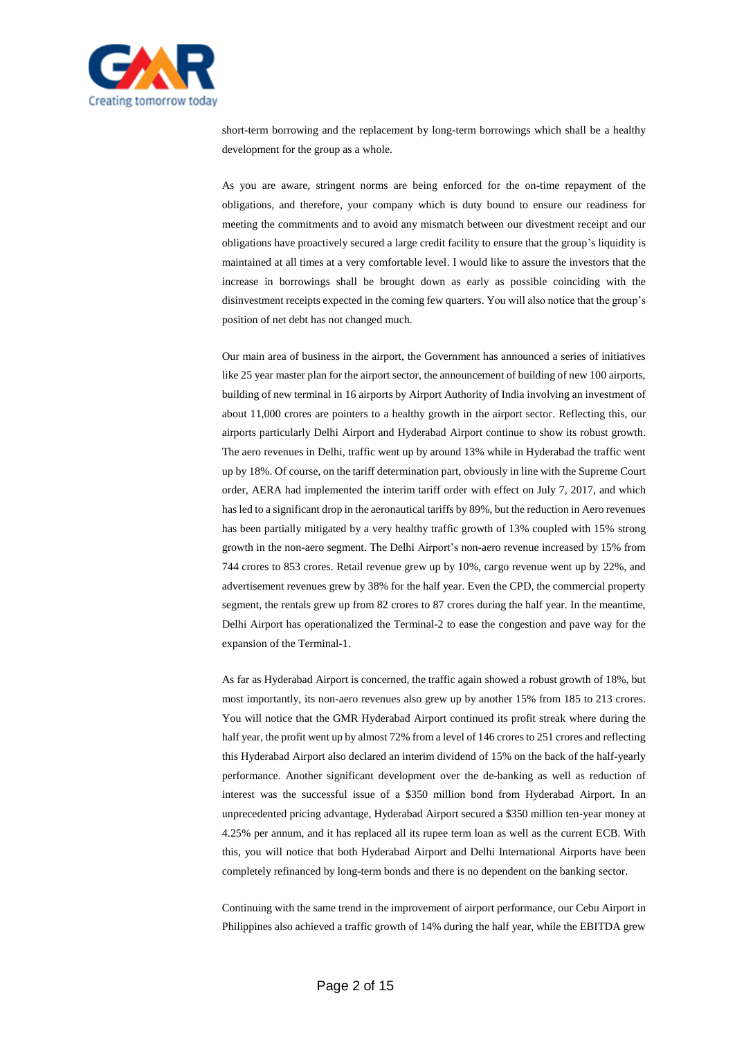

short-term borrowing and the replacement by long-term borrowings which shall be a healthy development for the group as a whole.

As you are aware, stringent norms are being enforced for the on-time repayment of the obligations, and therefore, your company which is duty bound to ensure our readiness for meeting the commitments and to avoid any mismatch between our divestment receipt and our obligations have proactively secured a large credit facility to ensure that the group's liquidity is maintained at all times at a very comfortable level. I would like to assure the investors that the increase in borrowings shall be brought down as early as possible coinciding with the disinvestment receipts expected in the coming few quarters. You will also notice that the group's position of net debt has not changed much.

Our main area of business in the airport, the Government has announced a series of initiatives like 25 year master plan for the airport sector, the announcement of building of new 100 airports, building of new terminal in 16 airports by Airport Authority of India involving an investment of about 11,000 crores are pointers to a healthy growth in the airport sector. Reflecting this, our airports particularly Delhi Airport and Hyderabad Airport continue to show its robust growth. The aero revenues in Delhi, traffic went up by around 13% while in Hyderabad the traffic went up by 18%. Of course, on the tariff determination part, obviously in line with the Supreme Court order, AERA had implemented the interim tariff order with effect on July 7, 2017, and which has led to a significant drop in the aeronautical tariffs by 89%, but the reduction in Aero revenues has been partially mitigated by a very healthy traffic growth of 13% coupled with 15% strong growth in the non-aero segment. The Delhi Airport's non-aero revenue increased by 15% from 744 crores to 853 crores. Retail revenue grew up by 10%, cargo revenue went up by 22%, and advertisement revenues grew by 38% for the half year. Even the CPD, the commercial property segment, the rentals grew up from 82 crores to 87 crores during the half year. In the meantime, Delhi Airport has operationalized the Terminal-2 to ease the congestion and pave way for the expansion of the Terminal-1.

As far as Hyderabad Airport is concerned, the traffic again showed a robust growth of 18%, but most importantly, its non-aero revenues also grew up by another 15% from 185 to 213 crores. You will notice that the GMR Hyderabad Airport continued its profit streak where during the half year, the profit went up by almost 72% from a level of 146 crores to 251 crores and reflecting this Hyderabad Airport also declared an interim dividend of 15% on the back of the half-yearly performance. Another significant development over the de-banking as well as reduction of interest was the successful issue of a \$350 million bond from Hyderabad Airport. In an unprecedented pricing advantage, Hyderabad Airport secured a \$350 million ten-year money at 4.25% per annum, and it has replaced all its rupee term loan as well as the current ECB. With this, you will notice that both Hyderabad Airport and Delhi International Airports have been completely refinanced by long-term bonds and there is no dependent on the banking sector.

Continuing with the same trend in the improvement of airport performance, our Cebu Airport in Philippines also achieved a traffic growth of 14% during the half year, while the EBITDA grew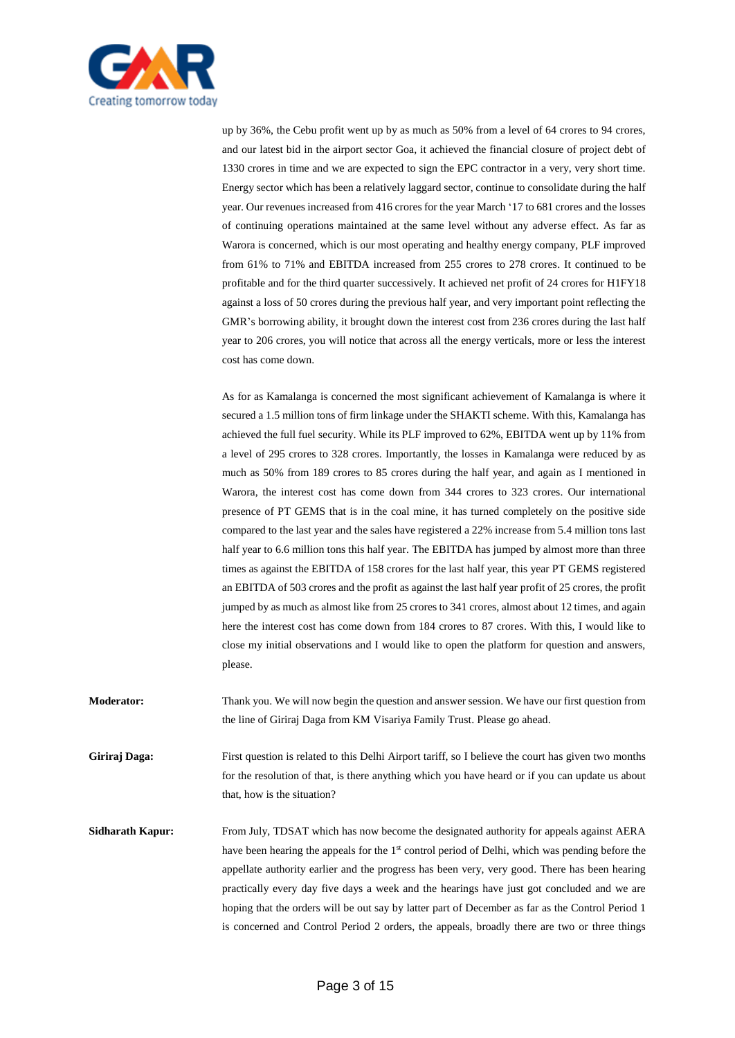

up by 36%, the Cebu profit went up by as much as 50% from a level of 64 crores to 94 crores, and our latest bid in the airport sector Goa, it achieved the financial closure of project debt of 1330 crores in time and we are expected to sign the EPC contractor in a very, very short time. Energy sector which has been a relatively laggard sector, continue to consolidate during the half year. Our revenues increased from 416 crores for the year March '17 to 681 crores and the losses of continuing operations maintained at the same level without any adverse effect. As far as Warora is concerned, which is our most operating and healthy energy company, PLF improved from 61% to 71% and EBITDA increased from 255 crores to 278 crores. It continued to be profitable and for the third quarter successively. It achieved net profit of 24 crores for H1FY18 against a loss of 50 crores during the previous half year, and very important point reflecting the GMR's borrowing ability, it brought down the interest cost from 236 crores during the last half year to 206 crores, you will notice that across all the energy verticals, more or less the interest cost has come down.

As for as Kamalanga is concerned the most significant achievement of Kamalanga is where it secured a 1.5 million tons of firm linkage under the SHAKTI scheme. With this, Kamalanga has achieved the full fuel security. While its PLF improved to 62%, EBITDA went up by 11% from a level of 295 crores to 328 crores. Importantly, the losses in Kamalanga were reduced by as much as 50% from 189 crores to 85 crores during the half year, and again as I mentioned in Warora, the interest cost has come down from 344 crores to 323 crores. Our international presence of PT GEMS that is in the coal mine, it has turned completely on the positive side compared to the last year and the sales have registered a 22% increase from 5.4 million tons last half year to 6.6 million tons this half year. The EBITDA has jumped by almost more than three times as against the EBITDA of 158 crores for the last half year, this year PT GEMS registered an EBITDA of 503 crores and the profit as against the last half year profit of 25 crores, the profit jumped by as much as almost like from 25 crores to 341 crores, almost about 12 times, and again here the interest cost has come down from 184 crores to 87 crores. With this, I would like to close my initial observations and I would like to open the platform for question and answers, please.

**Moderator:** Thank you. We will now begin the question and answer session. We have our first question from the line of Giriraj Daga from KM Visariya Family Trust. Please go ahead.

**Giriraj Daga:** First question is related to this Delhi Airport tariff, so I believe the court has given two months for the resolution of that, is there anything which you have heard or if you can update us about that, how is the situation?

**Sidharath Kapur:** From July, TDSAT which has now become the designated authority for appeals against AERA have been hearing the appeals for the 1<sup>st</sup> control period of Delhi, which was pending before the appellate authority earlier and the progress has been very, very good. There has been hearing practically every day five days a week and the hearings have just got concluded and we are hoping that the orders will be out say by latter part of December as far as the Control Period 1 is concerned and Control Period 2 orders, the appeals, broadly there are two or three things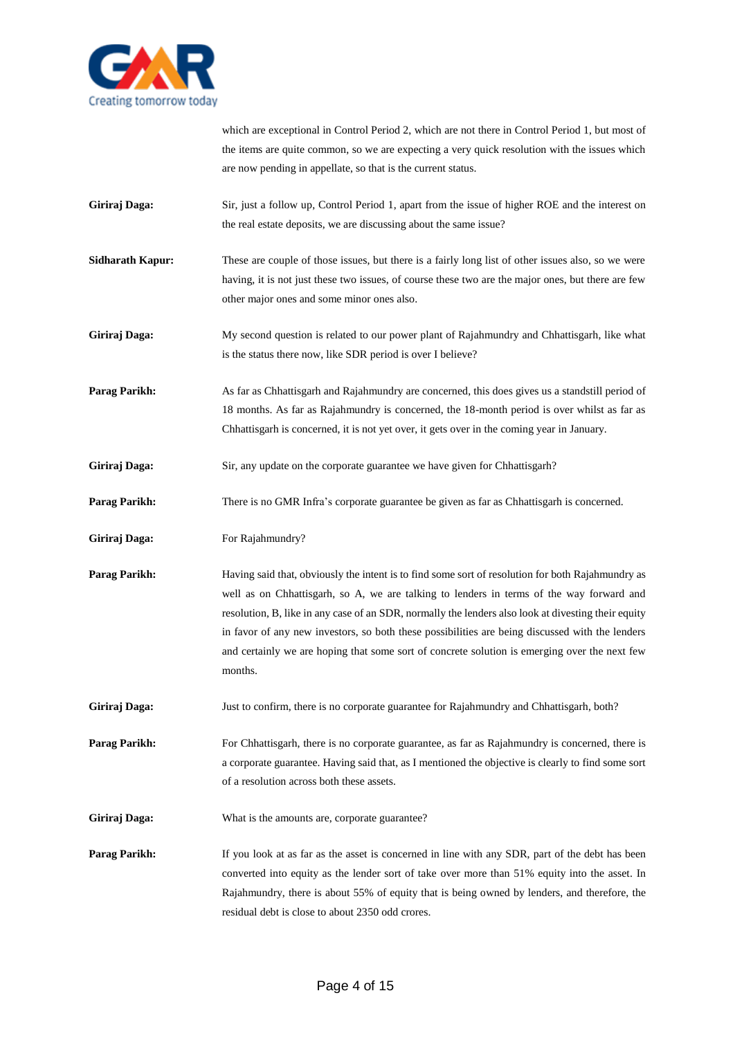

which are exceptional in Control Period 2, which are not there in Control Period 1, but most of the items are quite common, so we are expecting a very quick resolution with the issues which are now pending in appellate, so that is the current status.

- **Giriraj Daga:** Sir, just a follow up, Control Period 1, apart from the issue of higher ROE and the interest on the real estate deposits, we are discussing about the same issue?
- **Sidharath Kapur:** These are couple of those issues, but there is a fairly long list of other issues also, so we were having, it is not just these two issues, of course these two are the major ones, but there are few other major ones and some minor ones also.
- **Giriraj Daga:** My second question is related to our power plant of Rajahmundry and Chhattisgarh, like what is the status there now, like SDR period is over I believe?

**Parag Parikh:** As far as Chhattisgarh and Rajahmundry are concerned, this does gives us a standstill period of 18 months. As far as Rajahmundry is concerned, the 18-month period is over whilst as far as Chhattisgarh is concerned, it is not yet over, it gets over in the coming year in January.

- Giriraj Daga: Sir, any update on the corporate guarantee we have given for Chhattisgarh?
- **Parag Parikh:** There is no GMR Infra's corporate guarantee be given as far as Chhattisgarh is concerned.
- Giriraj Daga: For Rajahmundry?
- **Parag Parikh:** Having said that, obviously the intent is to find some sort of resolution for both Rajahmundry as well as on Chhattisgarh, so A, we are talking to lenders in terms of the way forward and resolution, B, like in any case of an SDR, normally the lenders also look at divesting their equity in favor of any new investors, so both these possibilities are being discussed with the lenders and certainly we are hoping that some sort of concrete solution is emerging over the next few months.
- Giriraj Daga: Just to confirm, there is no corporate guarantee for Rajahmundry and Chhattisgarh, both?

**Parag Parikh:** For Chhattisgarh, there is no corporate guarantee, as far as Rajahmundry is concerned, there is a corporate guarantee. Having said that, as I mentioned the objective is clearly to find some sort of a resolution across both these assets.

- Giriraj Daga: What is the amounts are, corporate guarantee?
- **Parag Parikh:** If you look at as far as the asset is concerned in line with any SDR, part of the debt has been converted into equity as the lender sort of take over more than 51% equity into the asset. In Rajahmundry, there is about 55% of equity that is being owned by lenders, and therefore, the residual debt is close to about 2350 odd crores.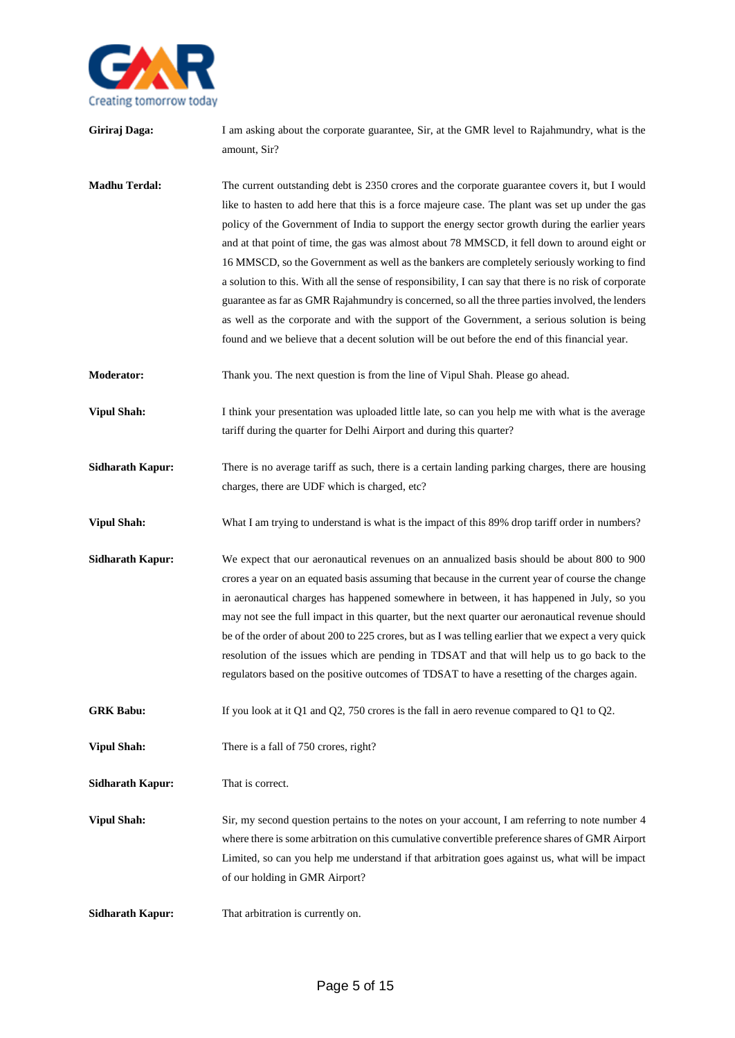

| Giriraj Daga:           | I am asking about the corporate guarantee, Sir, at the GMR level to Rajahmundry, what is the<br>amount, Sir?                                                                                                                                                                                                                                                                                                                                                                                                                                                                                                                                                                                                                                                                                                                                                                                                         |
|-------------------------|----------------------------------------------------------------------------------------------------------------------------------------------------------------------------------------------------------------------------------------------------------------------------------------------------------------------------------------------------------------------------------------------------------------------------------------------------------------------------------------------------------------------------------------------------------------------------------------------------------------------------------------------------------------------------------------------------------------------------------------------------------------------------------------------------------------------------------------------------------------------------------------------------------------------|
| <b>Madhu Terdal:</b>    | The current outstanding debt is 2350 crores and the corporate guarantee covers it, but I would<br>like to hasten to add here that this is a force majeure case. The plant was set up under the gas<br>policy of the Government of India to support the energy sector growth during the earlier years<br>and at that point of time, the gas was almost about 78 MMSCD, it fell down to around eight or<br>16 MMSCD, so the Government as well as the bankers are completely seriously working to find<br>a solution to this. With all the sense of responsibility, I can say that there is no risk of corporate<br>guarantee as far as GMR Rajahmundry is concerned, so all the three parties involved, the lenders<br>as well as the corporate and with the support of the Government, a serious solution is being<br>found and we believe that a decent solution will be out before the end of this financial year. |
| <b>Moderator:</b>       | Thank you. The next question is from the line of Vipul Shah. Please go ahead.                                                                                                                                                                                                                                                                                                                                                                                                                                                                                                                                                                                                                                                                                                                                                                                                                                        |
| <b>Vipul Shah:</b>      | I think your presentation was uploaded little late, so can you help me with what is the average<br>tariff during the quarter for Delhi Airport and during this quarter?                                                                                                                                                                                                                                                                                                                                                                                                                                                                                                                                                                                                                                                                                                                                              |
| <b>Sidharath Kapur:</b> | There is no average tariff as such, there is a certain landing parking charges, there are housing<br>charges, there are UDF which is charged, etc?                                                                                                                                                                                                                                                                                                                                                                                                                                                                                                                                                                                                                                                                                                                                                                   |
| <b>Vipul Shah:</b>      | What I am trying to understand is what is the impact of this 89% drop tariff order in numbers?                                                                                                                                                                                                                                                                                                                                                                                                                                                                                                                                                                                                                                                                                                                                                                                                                       |
| <b>Sidharath Kapur:</b> | We expect that our aeronautical revenues on an annualized basis should be about 800 to 900<br>crores a year on an equated basis assuming that because in the current year of course the change<br>in aeronautical charges has happened somewhere in between, it has happened in July, so you<br>may not see the full impact in this quarter, but the next quarter our aeronautical revenue should<br>be of the order of about 200 to 225 crores, but as I was telling earlier that we expect a very quick<br>resolution of the issues which are pending in TDSAT and that will help us to go back to the<br>regulators based on the positive outcomes of TDSAT to have a resetting of the charges again.                                                                                                                                                                                                             |
| <b>GRK Babu:</b>        | If you look at it Q1 and Q2, 750 crores is the fall in aero revenue compared to Q1 to Q2.                                                                                                                                                                                                                                                                                                                                                                                                                                                                                                                                                                                                                                                                                                                                                                                                                            |
| <b>Vipul Shah:</b>      | There is a fall of 750 crores, right?                                                                                                                                                                                                                                                                                                                                                                                                                                                                                                                                                                                                                                                                                                                                                                                                                                                                                |
| <b>Sidharath Kapur:</b> | That is correct.                                                                                                                                                                                                                                                                                                                                                                                                                                                                                                                                                                                                                                                                                                                                                                                                                                                                                                     |
| <b>Vipul Shah:</b>      | Sir, my second question pertains to the notes on your account, I am referring to note number 4<br>where there is some arbitration on this cumulative convertible preference shares of GMR Airport<br>Limited, so can you help me understand if that arbitration goes against us, what will be impact<br>of our holding in GMR Airport?                                                                                                                                                                                                                                                                                                                                                                                                                                                                                                                                                                               |
| <b>Sidharath Kapur:</b> | That arbitration is currently on.                                                                                                                                                                                                                                                                                                                                                                                                                                                                                                                                                                                                                                                                                                                                                                                                                                                                                    |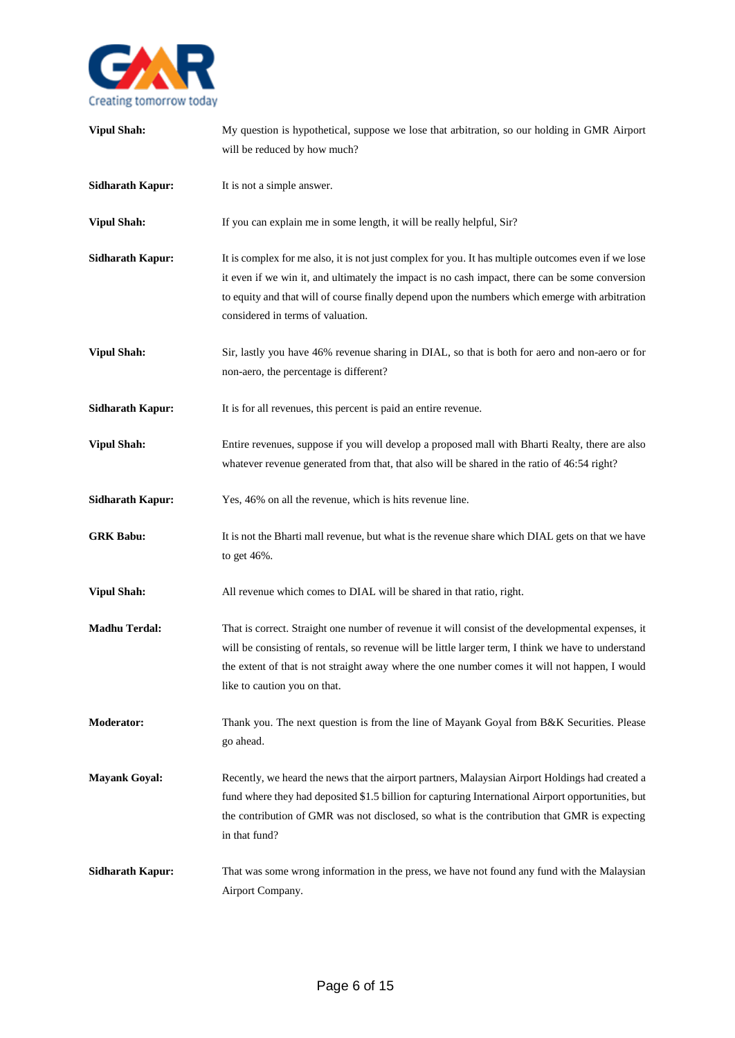

| <b>Vipul Shah:</b>      | My question is hypothetical, suppose we lose that arbitration, so our holding in GMR Airport<br>will be reduced by how much?                                                                                                                                                                                                                   |
|-------------------------|------------------------------------------------------------------------------------------------------------------------------------------------------------------------------------------------------------------------------------------------------------------------------------------------------------------------------------------------|
| <b>Sidharath Kapur:</b> | It is not a simple answer.                                                                                                                                                                                                                                                                                                                     |
| <b>Vipul Shah:</b>      | If you can explain me in some length, it will be really helpful, Sir?                                                                                                                                                                                                                                                                          |
| <b>Sidharath Kapur:</b> | It is complex for me also, it is not just complex for you. It has multiple outcomes even if we lose<br>it even if we win it, and ultimately the impact is no cash impact, there can be some conversion<br>to equity and that will of course finally depend upon the numbers which emerge with arbitration<br>considered in terms of valuation. |
| <b>Vipul Shah:</b>      | Sir, lastly you have 46% revenue sharing in DIAL, so that is both for aero and non-aero or for<br>non-aero, the percentage is different?                                                                                                                                                                                                       |
| <b>Sidharath Kapur:</b> | It is for all revenues, this percent is paid an entire revenue.                                                                                                                                                                                                                                                                                |
| <b>Vipul Shah:</b>      | Entire revenues, suppose if you will develop a proposed mall with Bharti Realty, there are also<br>whatever revenue generated from that, that also will be shared in the ratio of 46:54 right?                                                                                                                                                 |
| <b>Sidharath Kapur:</b> | Yes, 46% on all the revenue, which is hits revenue line.                                                                                                                                                                                                                                                                                       |
| <b>GRK Babu:</b>        | It is not the Bharti mall revenue, but what is the revenue share which DIAL gets on that we have<br>to get 46%.                                                                                                                                                                                                                                |
| <b>Vipul Shah:</b>      | All revenue which comes to DIAL will be shared in that ratio, right.                                                                                                                                                                                                                                                                           |
| <b>Madhu Terdal:</b>    | That is correct. Straight one number of revenue it will consist of the developmental expenses, it<br>will be consisting of rentals, so revenue will be little larger term, I think we have to understand<br>the extent of that is not straight away where the one number comes it will not happen, I would<br>like to caution you on that.     |
| <b>Moderator:</b>       | Thank you. The next question is from the line of Mayank Goyal from B&K Securities. Please<br>go ahead.                                                                                                                                                                                                                                         |
| <b>Mayank Goyal:</b>    | Recently, we heard the news that the airport partners, Malaysian Airport Holdings had created a<br>fund where they had deposited \$1.5 billion for capturing International Airport opportunities, but<br>the contribution of GMR was not disclosed, so what is the contribution that GMR is expecting<br>in that fund?                         |
| <b>Sidharath Kapur:</b> | That was some wrong information in the press, we have not found any fund with the Malaysian<br>Airport Company.                                                                                                                                                                                                                                |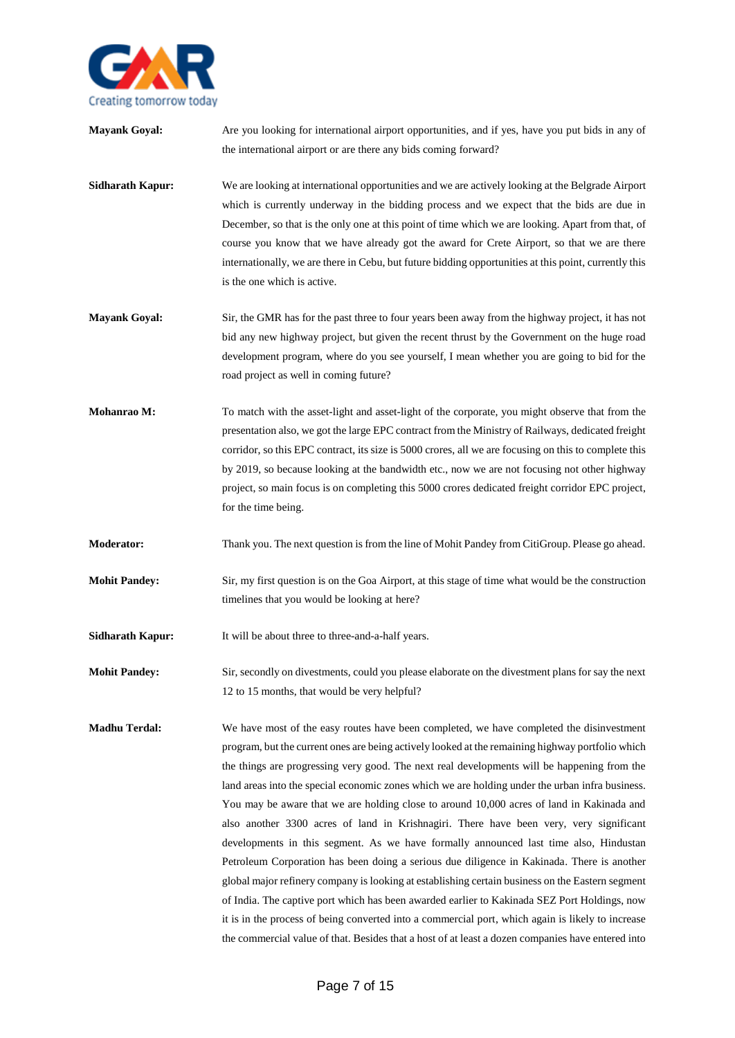

| <b>Mayank Goyal:</b>    | Are you looking for international airport opportunities, and if yes, have you put bids in any of<br>the international airport or are there any bids coming forward?                                                                                                                                                                                                                                                                                                                                                                                                                                                                                                                                                                                                                                                                                                                                                                                                                                                                                                                                                                                                                        |
|-------------------------|--------------------------------------------------------------------------------------------------------------------------------------------------------------------------------------------------------------------------------------------------------------------------------------------------------------------------------------------------------------------------------------------------------------------------------------------------------------------------------------------------------------------------------------------------------------------------------------------------------------------------------------------------------------------------------------------------------------------------------------------------------------------------------------------------------------------------------------------------------------------------------------------------------------------------------------------------------------------------------------------------------------------------------------------------------------------------------------------------------------------------------------------------------------------------------------------|
| <b>Sidharath Kapur:</b> | We are looking at international opportunities and we are actively looking at the Belgrade Airport<br>which is currently underway in the bidding process and we expect that the bids are due in<br>December, so that is the only one at this point of time which we are looking. Apart from that, of<br>course you know that we have already got the award for Crete Airport, so that we are there<br>internationally, we are there in Cebu, but future bidding opportunities at this point, currently this<br>is the one which is active.                                                                                                                                                                                                                                                                                                                                                                                                                                                                                                                                                                                                                                                  |
| <b>Mayank Goyal:</b>    | Sir, the GMR has for the past three to four years been away from the highway project, it has not<br>bid any new highway project, but given the recent thrust by the Government on the huge road<br>development program, where do you see yourself, I mean whether you are going to bid for the<br>road project as well in coming future?                                                                                                                                                                                                                                                                                                                                                                                                                                                                                                                                                                                                                                                                                                                                                                                                                                                   |
| Mohanrao M:             | To match with the asset-light and asset-light of the corporate, you might observe that from the<br>presentation also, we got the large EPC contract from the Ministry of Railways, dedicated freight<br>corridor, so this EPC contract, its size is 5000 crores, all we are focusing on this to complete this<br>by 2019, so because looking at the bandwidth etc., now we are not focusing not other highway<br>project, so main focus is on completing this 5000 crores dedicated freight corridor EPC project,<br>for the time being.                                                                                                                                                                                                                                                                                                                                                                                                                                                                                                                                                                                                                                                   |
| <b>Moderator:</b>       | Thank you. The next question is from the line of Mohit Pandey from CitiGroup. Please go ahead.                                                                                                                                                                                                                                                                                                                                                                                                                                                                                                                                                                                                                                                                                                                                                                                                                                                                                                                                                                                                                                                                                             |
| <b>Mohit Pandey:</b>    | Sir, my first question is on the Goa Airport, at this stage of time what would be the construction<br>timelines that you would be looking at here?                                                                                                                                                                                                                                                                                                                                                                                                                                                                                                                                                                                                                                                                                                                                                                                                                                                                                                                                                                                                                                         |
| <b>Sidharath Kapur:</b> | It will be about three to three-and-a-half years.                                                                                                                                                                                                                                                                                                                                                                                                                                                                                                                                                                                                                                                                                                                                                                                                                                                                                                                                                                                                                                                                                                                                          |
| <b>Mohit Pandey:</b>    | Sir, secondly on divestments, could you please elaborate on the divestment plans for say the next<br>12 to 15 months, that would be very helpful?                                                                                                                                                                                                                                                                                                                                                                                                                                                                                                                                                                                                                                                                                                                                                                                                                                                                                                                                                                                                                                          |
| <b>Madhu Terdal:</b>    | We have most of the easy routes have been completed, we have completed the disinvestment<br>program, but the current ones are being actively looked at the remaining highway portfolio which<br>the things are progressing very good. The next real developments will be happening from the<br>land areas into the special economic zones which we are holding under the urban infra business.<br>You may be aware that we are holding close to around 10,000 acres of land in Kakinada and<br>also another 3300 acres of land in Krishnagiri. There have been very, very significant<br>developments in this segment. As we have formally announced last time also, Hindustan<br>Petroleum Corporation has been doing a serious due diligence in Kakinada. There is another<br>global major refinery company is looking at establishing certain business on the Eastern segment<br>of India. The captive port which has been awarded earlier to Kakinada SEZ Port Holdings, now<br>it is in the process of being converted into a commercial port, which again is likely to increase<br>the commercial value of that. Besides that a host of at least a dozen companies have entered into |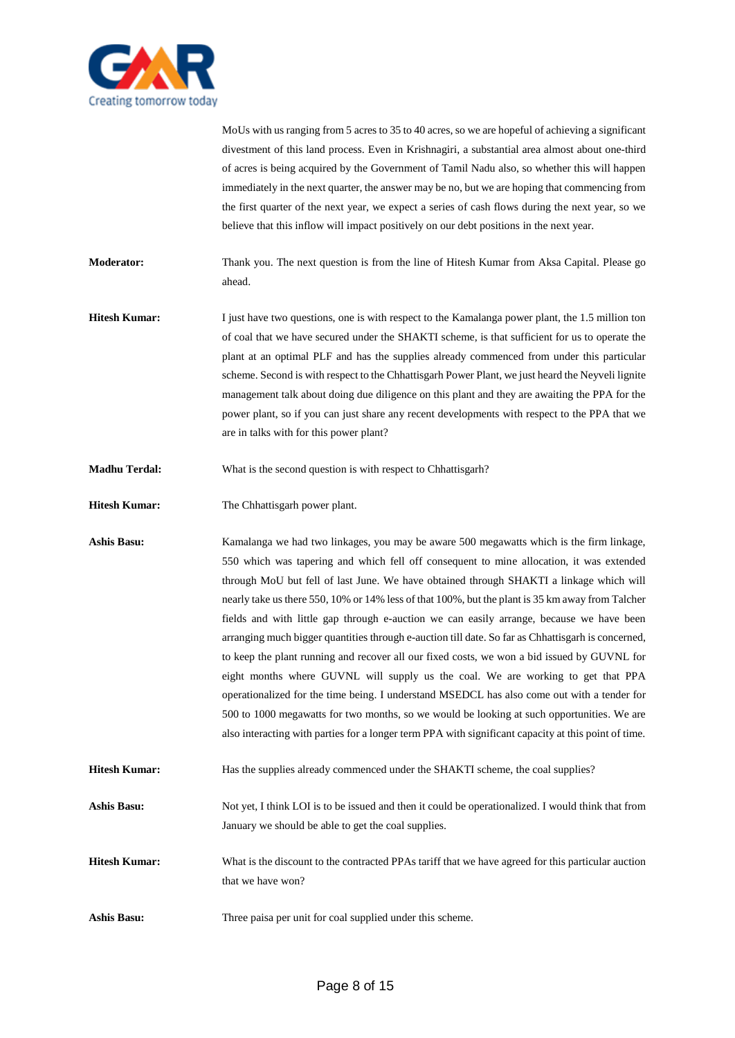

MoUs with us ranging from 5 acres to 35 to 40 acres, so we are hopeful of achieving a significant divestment of this land process. Even in Krishnagiri, a substantial area almost about one-third of acres is being acquired by the Government of Tamil Nadu also, so whether this will happen immediately in the next quarter, the answer may be no, but we are hoping that commencing from the first quarter of the next year, we expect a series of cash flows during the next year, so we believe that this inflow will impact positively on our debt positions in the next year.

**Moderator:** Thank you. The next question is from the line of Hitesh Kumar from Aksa Capital. Please go ahead.

- **Hitesh Kumar:** I just have two questions, one is with respect to the Kamalanga power plant, the 1.5 million ton of coal that we have secured under the SHAKTI scheme, is that sufficient for us to operate the plant at an optimal PLF and has the supplies already commenced from under this particular scheme. Second is with respect to the Chhattisgarh Power Plant, we just heard the Neyveli lignite management talk about doing due diligence on this plant and they are awaiting the PPA for the power plant, so if you can just share any recent developments with respect to the PPA that we are in talks with for this power plant?
- **Madhu Terdal:** What is the second question is with respect to Chhattisgarh?
- **Hitesh Kumar:** The Chhattisgarh power plant.

**Ashis Basu:** Kamalanga we had two linkages, you may be aware 500 megawatts which is the firm linkage, 550 which was tapering and which fell off consequent to mine allocation, it was extended through MoU but fell of last June. We have obtained through SHAKTI a linkage which will nearly take us there 550, 10% or 14% less of that 100%, but the plant is 35 km away from Talcher fields and with little gap through e-auction we can easily arrange, because we have been arranging much bigger quantities through e-auction till date. So far as Chhattisgarh is concerned, to keep the plant running and recover all our fixed costs, we won a bid issued by GUVNL for eight months where GUVNL will supply us the coal. We are working to get that PPA operationalized for the time being. I understand MSEDCL has also come out with a tender for 500 to 1000 megawatts for two months, so we would be looking at such opportunities. We are also interacting with parties for a longer term PPA with significant capacity at this point of time.

**Hitesh Kumar:** Has the supplies already commenced under the SHAKTI scheme, the coal supplies?

**Ashis Basu:** Not yet, I think LOI is to be issued and then it could be operationalized. I would think that from January we should be able to get the coal supplies.

**Hitesh Kumar:** What is the discount to the contracted PPAs tariff that we have agreed for this particular auction that we have won?

**Ashis Basu:** Three paisa per unit for coal supplied under this scheme.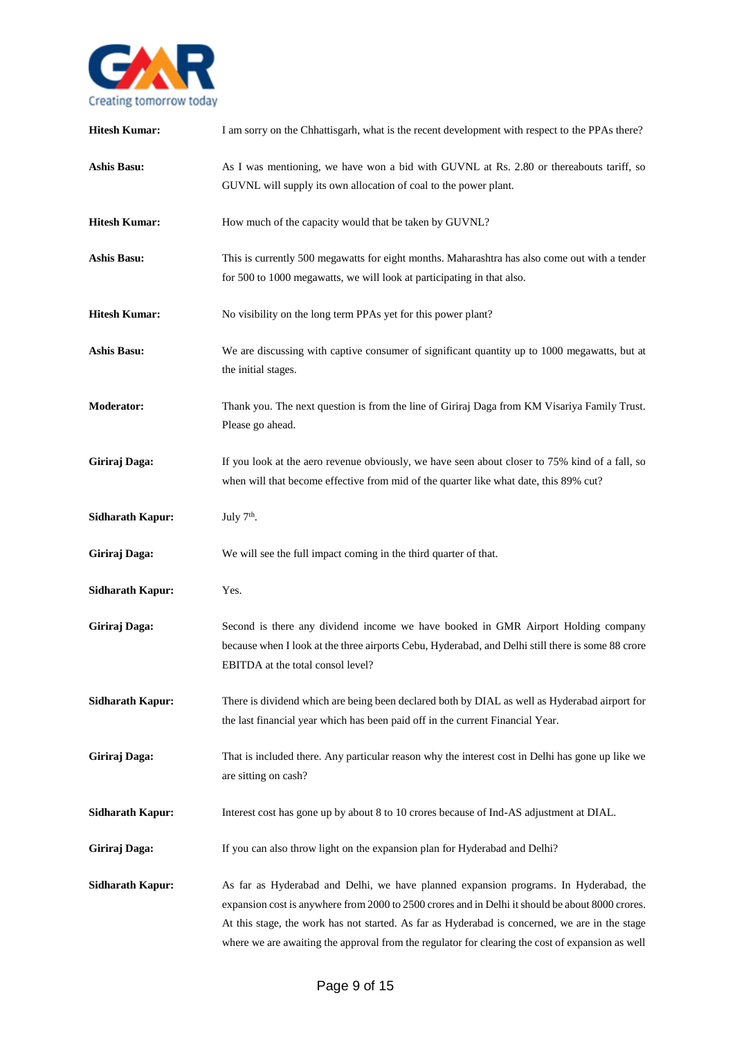

| <b>Hitesh Kumar:</b>    | I am sorry on the Chhattisgarh, what is the recent development with respect to the PPAs there?                                                                                                                                                                                                                                                                                                 |
|-------------------------|------------------------------------------------------------------------------------------------------------------------------------------------------------------------------------------------------------------------------------------------------------------------------------------------------------------------------------------------------------------------------------------------|
| <b>Ashis Basu:</b>      | As I was mentioning, we have won a bid with GUVNL at Rs. 2.80 or thereabouts tariff, so<br>GUVNL will supply its own allocation of coal to the power plant.                                                                                                                                                                                                                                    |
| <b>Hitesh Kumar:</b>    | How much of the capacity would that be taken by GUVNL?                                                                                                                                                                                                                                                                                                                                         |
| <b>Ashis Basu:</b>      | This is currently 500 megawatts for eight months. Maharashtra has also come out with a tender<br>for 500 to 1000 megawatts, we will look at participating in that also.                                                                                                                                                                                                                        |
| <b>Hitesh Kumar:</b>    | No visibility on the long term PPAs yet for this power plant?                                                                                                                                                                                                                                                                                                                                  |
| <b>Ashis Basu:</b>      | We are discussing with captive consumer of significant quantity up to 1000 megawatts, but at<br>the initial stages.                                                                                                                                                                                                                                                                            |
| <b>Moderator:</b>       | Thank you. The next question is from the line of Giriraj Daga from KM Visariya Family Trust.<br>Please go ahead.                                                                                                                                                                                                                                                                               |
| Giriraj Daga:           | If you look at the aero revenue obviously, we have seen about closer to 75% kind of a fall, so<br>when will that become effective from mid of the quarter like what date, this 89% cut?                                                                                                                                                                                                        |
| <b>Sidharath Kapur:</b> | July 7 <sup>th</sup> .                                                                                                                                                                                                                                                                                                                                                                         |
| Giriraj Daga:           | We will see the full impact coming in the third quarter of that.                                                                                                                                                                                                                                                                                                                               |
| <b>Sidharath Kapur:</b> | Yes.                                                                                                                                                                                                                                                                                                                                                                                           |
| Giriraj Daga:           | Second is there any dividend income we have booked in GMR Airport Holding company<br>because when I look at the three airports Cebu, Hyderabad, and Delhi still there is some 88 crore<br>EBITDA at the total consol level?                                                                                                                                                                    |
| <b>Sidharath Kapur:</b> | There is dividend which are being been declared both by DIAL as well as Hyderabad airport for<br>the last financial year which has been paid off in the current Financial Year.                                                                                                                                                                                                                |
| Giriraj Daga:           | That is included there. Any particular reason why the interest cost in Delhi has gone up like we<br>are sitting on cash?                                                                                                                                                                                                                                                                       |
| <b>Sidharath Kapur:</b> | Interest cost has gone up by about 8 to 10 crores because of Ind-AS adjustment at DIAL.                                                                                                                                                                                                                                                                                                        |
| Giriraj Daga:           | If you can also throw light on the expansion plan for Hyderabad and Delhi?                                                                                                                                                                                                                                                                                                                     |
| <b>Sidharath Kapur:</b> | As far as Hyderabad and Delhi, we have planned expansion programs. In Hyderabad, the<br>expansion cost is anywhere from 2000 to 2500 crores and in Delhi it should be about 8000 crores.<br>At this stage, the work has not started. As far as Hyderabad is concerned, we are in the stage<br>where we are awaiting the approval from the regulator for clearing the cost of expansion as well |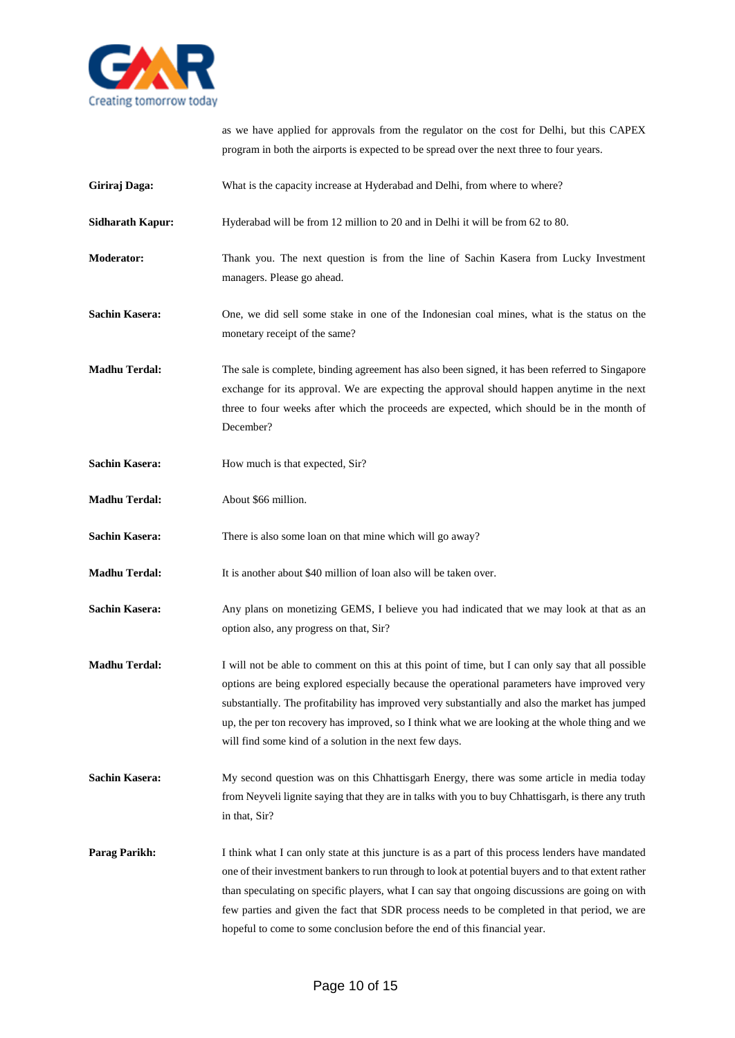

as we have applied for approvals from the regulator on the cost for Delhi, but this CAPEX program in both the airports is expected to be spread over the next three to four years.

- Giriraj Daga: What is the capacity increase at Hyderabad and Delhi, from where to where?
- **Sidharath Kapur:** Hyderabad will be from 12 million to 20 and in Delhi it will be from 62 to 80.
- **Moderator:** Thank you. The next question is from the line of Sachin Kasera from Lucky Investment managers. Please go ahead.
- **Sachin Kasera:** One, we did sell some stake in one of the Indonesian coal mines, what is the status on the monetary receipt of the same?
- **Madhu Terdal:** The sale is complete, binding agreement has also been signed, it has been referred to Singapore exchange for its approval. We are expecting the approval should happen anytime in the next three to four weeks after which the proceeds are expected, which should be in the month of December?
- **Sachin Kasera:** How much is that expected, Sir?
- **Madhu Terdal:** About \$66 million.
- **Sachin Kasera:** There is also some loan on that mine which will go away?
- **Madhu Terdal:** It is another about \$40 million of loan also will be taken over.
- **Sachin Kasera:** Any plans on monetizing GEMS, I believe you had indicated that we may look at that as an option also, any progress on that, Sir?
- **Madhu Terdal:** I will not be able to comment on this at this point of time, but I can only say that all possible options are being explored especially because the operational parameters have improved very substantially. The profitability has improved very substantially and also the market has jumped up, the per ton recovery has improved, so I think what we are looking at the whole thing and we will find some kind of a solution in the next few days.
- **Sachin Kasera:** My second question was on this Chhattisgarh Energy, there was some article in media today from Neyveli lignite saying that they are in talks with you to buy Chhattisgarh, is there any truth in that, Sir?
- **Parag Parikh:** I think what I can only state at this juncture is as a part of this process lenders have mandated one of their investment bankers to run through to look at potential buyers and to that extent rather than speculating on specific players, what I can say that ongoing discussions are going on with few parties and given the fact that SDR process needs to be completed in that period, we are hopeful to come to some conclusion before the end of this financial year.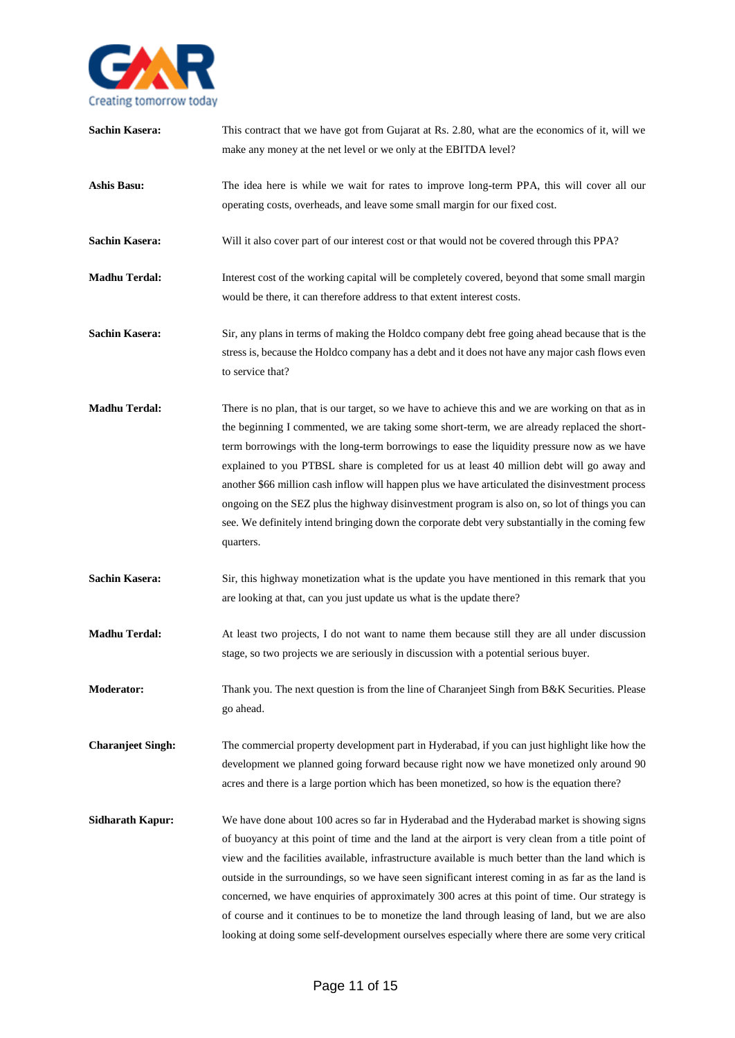

| <b>Sachin Kasera:</b>    | This contract that we have got from Gujarat at Rs. 2.80, what are the economics of it, will we<br>make any money at the net level or we only at the EBITDA level?                                                                                                                                                                                                                                                                                                                                                                                                                                                                                                                                                   |
|--------------------------|---------------------------------------------------------------------------------------------------------------------------------------------------------------------------------------------------------------------------------------------------------------------------------------------------------------------------------------------------------------------------------------------------------------------------------------------------------------------------------------------------------------------------------------------------------------------------------------------------------------------------------------------------------------------------------------------------------------------|
| <b>Ashis Basu:</b>       | The idea here is while we wait for rates to improve long-term PPA, this will cover all our<br>operating costs, overheads, and leave some small margin for our fixed cost.                                                                                                                                                                                                                                                                                                                                                                                                                                                                                                                                           |
| <b>Sachin Kasera:</b>    | Will it also cover part of our interest cost or that would not be covered through this PPA?                                                                                                                                                                                                                                                                                                                                                                                                                                                                                                                                                                                                                         |
| <b>Madhu Terdal:</b>     | Interest cost of the working capital will be completely covered, beyond that some small margin<br>would be there, it can therefore address to that extent interest costs.                                                                                                                                                                                                                                                                                                                                                                                                                                                                                                                                           |
| <b>Sachin Kasera:</b>    | Sir, any plans in terms of making the Holdco company debt free going ahead because that is the<br>stress is, because the Holdco company has a debt and it does not have any major cash flows even<br>to service that?                                                                                                                                                                                                                                                                                                                                                                                                                                                                                               |
| <b>Madhu Terdal:</b>     | There is no plan, that is our target, so we have to achieve this and we are working on that as in<br>the beginning I commented, we are taking some short-term, we are already replaced the short-<br>term borrowings with the long-term borrowings to ease the liquidity pressure now as we have<br>explained to you PTBSL share is completed for us at least 40 million debt will go away and<br>another \$66 million cash inflow will happen plus we have articulated the disinvestment process<br>ongoing on the SEZ plus the highway disinvestment program is also on, so lot of things you can<br>see. We definitely intend bringing down the corporate debt very substantially in the coming few<br>quarters. |
| <b>Sachin Kasera:</b>    | Sir, this highway monetization what is the update you have mentioned in this remark that you<br>are looking at that, can you just update us what is the update there?                                                                                                                                                                                                                                                                                                                                                                                                                                                                                                                                               |
| <b>Madhu Terdal:</b>     | At least two projects, I do not want to name them because still they are all under discussion<br>stage, so two projects we are seriously in discussion with a potential serious buyer.                                                                                                                                                                                                                                                                                                                                                                                                                                                                                                                              |
| <b>Moderator:</b>        | Thank you. The next question is from the line of Charanjeet Singh from B&K Securities. Please<br>go ahead.                                                                                                                                                                                                                                                                                                                                                                                                                                                                                                                                                                                                          |
| <b>Charanjeet Singh:</b> | The commercial property development part in Hyderabad, if you can just highlight like how the<br>development we planned going forward because right now we have monetized only around 90<br>acres and there is a large portion which has been monetized, so how is the equation there?                                                                                                                                                                                                                                                                                                                                                                                                                              |
| <b>Sidharath Kapur:</b>  | We have done about 100 acres so far in Hyderabad and the Hyderabad market is showing signs<br>of buoyancy at this point of time and the land at the airport is very clean from a title point of<br>view and the facilities available, infrastructure available is much better than the land which is<br>outside in the surroundings, so we have seen significant interest coming in as far as the land is<br>concerned, we have enquiries of approximately 300 acres at this point of time. Our strategy is<br>of course and it continues to be to monetize the land through leasing of land, but we are also<br>looking at doing some self-development ourselves especially where there are some very critical     |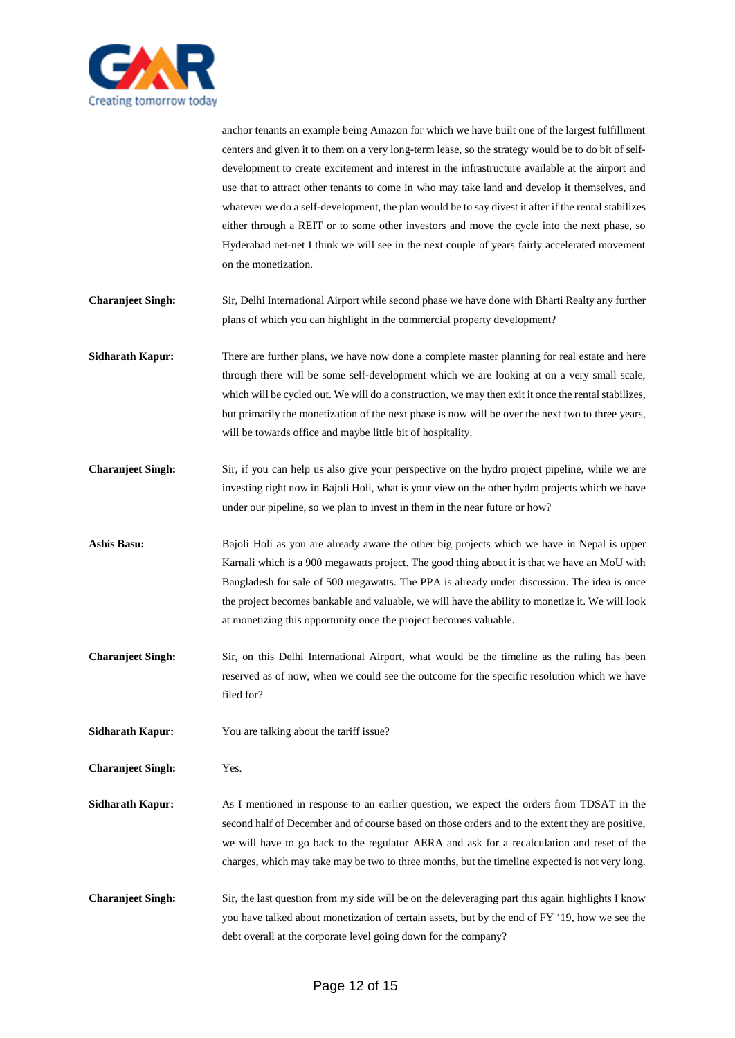

anchor tenants an example being Amazon for which we have built one of the largest fulfillment centers and given it to them on a very long-term lease, so the strategy would be to do bit of selfdevelopment to create excitement and interest in the infrastructure available at the airport and use that to attract other tenants to come in who may take land and develop it themselves, and whatever we do a self-development, the plan would be to say divest it after if the rental stabilizes either through a REIT or to some other investors and move the cycle into the next phase, so Hyderabad net-net I think we will see in the next couple of years fairly accelerated movement on the monetization.

- **Charanjeet Singh:** Sir, Delhi International Airport while second phase we have done with Bharti Realty any further plans of which you can highlight in the commercial property development?
- **Sidharath Kapur:** There are further plans, we have now done a complete master planning for real estate and here through there will be some self-development which we are looking at on a very small scale, which will be cycled out. We will do a construction, we may then exit it once the rental stabilizes, but primarily the monetization of the next phase is now will be over the next two to three years, will be towards office and maybe little bit of hospitality.
- **Charanjeet Singh:** Sir, if you can help us also give your perspective on the hydro project pipeline, while we are investing right now in Bajoli Holi, what is your view on the other hydro projects which we have under our pipeline, so we plan to invest in them in the near future or how?
- **Ashis Basu:** Bajoli Holi as you are already aware the other big projects which we have in Nepal is upper Karnali which is a 900 megawatts project. The good thing about it is that we have an MoU with Bangladesh for sale of 500 megawatts. The PPA is already under discussion. The idea is once the project becomes bankable and valuable, we will have the ability to monetize it. We will look at monetizing this opportunity once the project becomes valuable.
- **Charanjeet Singh:** Sir, on this Delhi International Airport, what would be the timeline as the ruling has been reserved as of now, when we could see the outcome for the specific resolution which we have filed for?
- **Sidharath Kapur:** You are talking about the tariff issue?
- **Charanjeet Singh:** Yes.
- **Sidharath Kapur:** As I mentioned in response to an earlier question, we expect the orders from TDSAT in the second half of December and of course based on those orders and to the extent they are positive, we will have to go back to the regulator AERA and ask for a recalculation and reset of the charges, which may take may be two to three months, but the timeline expected is not very long.
- **Charanjeet Singh:** Sir, the last question from my side will be on the deleveraging part this again highlights I know you have talked about monetization of certain assets, but by the end of FY '19, how we see the debt overall at the corporate level going down for the company?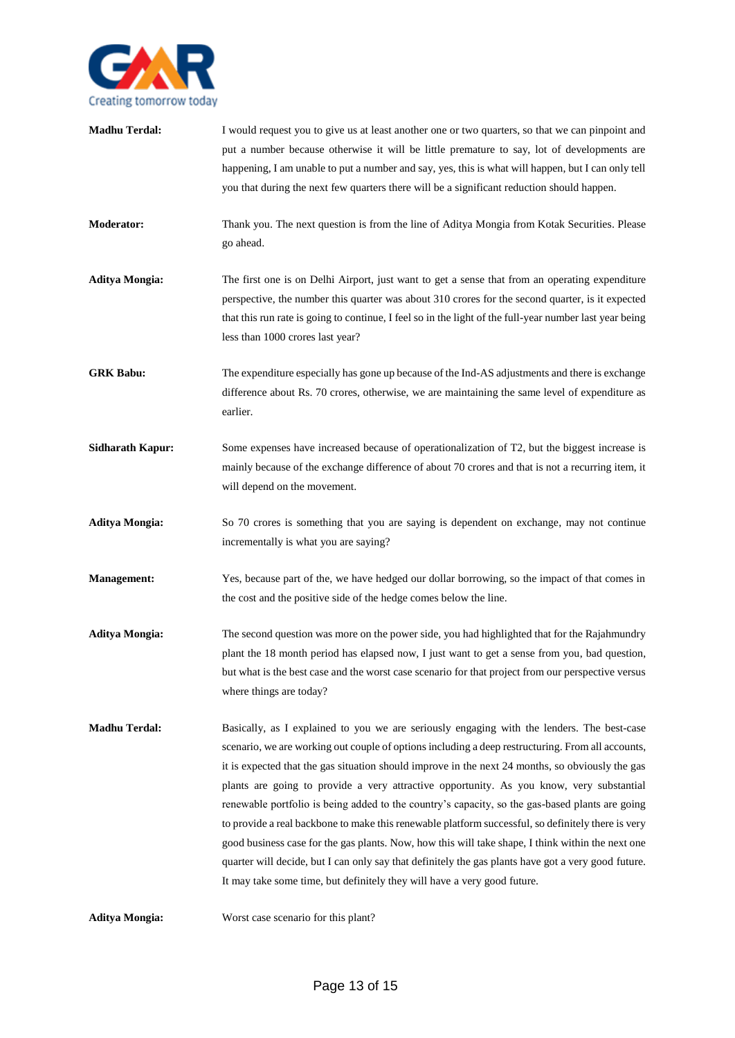

| <b>Madhu Terdal:</b>    | I would request you to give us at least another one or two quarters, so that we can pinpoint and<br>put a number because otherwise it will be little premature to say, lot of developments are<br>happening, I am unable to put a number and say, yes, this is what will happen, but I can only tell<br>you that during the next few quarters there will be a significant reduction should happen.                                                                                                                                                                                                                                                                                                                                                                                                                                                                                               |
|-------------------------|--------------------------------------------------------------------------------------------------------------------------------------------------------------------------------------------------------------------------------------------------------------------------------------------------------------------------------------------------------------------------------------------------------------------------------------------------------------------------------------------------------------------------------------------------------------------------------------------------------------------------------------------------------------------------------------------------------------------------------------------------------------------------------------------------------------------------------------------------------------------------------------------------|
| <b>Moderator:</b>       | Thank you. The next question is from the line of Aditya Mongia from Kotak Securities. Please<br>go ahead.                                                                                                                                                                                                                                                                                                                                                                                                                                                                                                                                                                                                                                                                                                                                                                                        |
| <b>Aditya Mongia:</b>   | The first one is on Delhi Airport, just want to get a sense that from an operating expenditure<br>perspective, the number this quarter was about 310 crores for the second quarter, is it expected<br>that this run rate is going to continue, I feel so in the light of the full-year number last year being<br>less than 1000 crores last year?                                                                                                                                                                                                                                                                                                                                                                                                                                                                                                                                                |
| <b>GRK Babu:</b>        | The expenditure especially has gone up because of the Ind-AS adjustments and there is exchange<br>difference about Rs. 70 crores, otherwise, we are maintaining the same level of expenditure as<br>earlier.                                                                                                                                                                                                                                                                                                                                                                                                                                                                                                                                                                                                                                                                                     |
| <b>Sidharath Kapur:</b> | Some expenses have increased because of operationalization of T2, but the biggest increase is<br>mainly because of the exchange difference of about 70 crores and that is not a recurring item, it<br>will depend on the movement.                                                                                                                                                                                                                                                                                                                                                                                                                                                                                                                                                                                                                                                               |
| <b>Aditya Mongia:</b>   | So 70 crores is something that you are saying is dependent on exchange, may not continue<br>incrementally is what you are saying?                                                                                                                                                                                                                                                                                                                                                                                                                                                                                                                                                                                                                                                                                                                                                                |
| <b>Management:</b>      | Yes, because part of the, we have hedged our dollar borrowing, so the impact of that comes in<br>the cost and the positive side of the hedge comes below the line.                                                                                                                                                                                                                                                                                                                                                                                                                                                                                                                                                                                                                                                                                                                               |
| <b>Aditya Mongia:</b>   | The second question was more on the power side, you had highlighted that for the Rajahmundry<br>plant the 18 month period has elapsed now, I just want to get a sense from you, bad question,<br>but what is the best case and the worst case scenario for that project from our perspective versus<br>where things are today?                                                                                                                                                                                                                                                                                                                                                                                                                                                                                                                                                                   |
| <b>Madhu Terdal:</b>    | Basically, as I explained to you we are seriously engaging with the lenders. The best-case<br>scenario, we are working out couple of options including a deep restructuring. From all accounts,<br>it is expected that the gas situation should improve in the next 24 months, so obviously the gas<br>plants are going to provide a very attractive opportunity. As you know, very substantial<br>renewable portfolio is being added to the country's capacity, so the gas-based plants are going<br>to provide a real backbone to make this renewable platform successful, so definitely there is very<br>good business case for the gas plants. Now, how this will take shape, I think within the next one<br>quarter will decide, but I can only say that definitely the gas plants have got a very good future.<br>It may take some time, but definitely they will have a very good future. |
| <b>Aditya Mongia:</b>   | Worst case scenario for this plant?                                                                                                                                                                                                                                                                                                                                                                                                                                                                                                                                                                                                                                                                                                                                                                                                                                                              |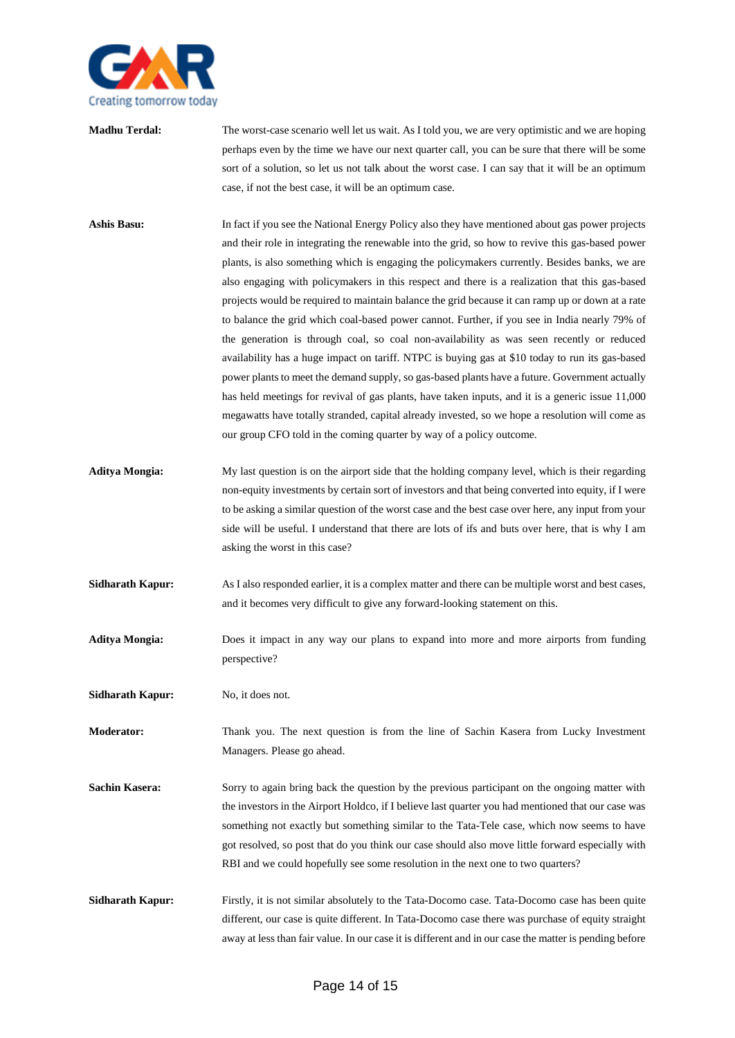

**Madhu Terdal:** The worst-case scenario well let us wait. As I told you, we are very optimistic and we are hoping perhaps even by the time we have our next quarter call, you can be sure that there will be some sort of a solution, so let us not talk about the worst case. I can say that it will be an optimum case, if not the best case, it will be an optimum case.

- **Ashis Basu:** In fact if you see the National Energy Policy also they have mentioned about gas power projects and their role in integrating the renewable into the grid, so how to revive this gas-based power plants, is also something which is engaging the policymakers currently. Besides banks, we are also engaging with policymakers in this respect and there is a realization that this gas-based projects would be required to maintain balance the grid because it can ramp up or down at a rate to balance the grid which coal-based power cannot. Further, if you see in India nearly 79% of the generation is through coal, so coal non-availability as was seen recently or reduced availability has a huge impact on tariff. NTPC is buying gas at \$10 today to run its gas-based power plants to meet the demand supply, so gas-based plants have a future. Government actually has held meetings for revival of gas plants, have taken inputs, and it is a generic issue 11,000 megawatts have totally stranded, capital already invested, so we hope a resolution will come as our group CFO told in the coming quarter by way of a policy outcome.
- **Aditya Mongia:** My last question is on the airport side that the holding company level, which is their regarding non-equity investments by certain sort of investors and that being converted into equity, if I were to be asking a similar question of the worst case and the best case over here, any input from your side will be useful. I understand that there are lots of ifs and buts over here, that is why I am asking the worst in this case?
- **Sidharath Kapur:** As I also responded earlier, it is a complex matter and there can be multiple worst and best cases, and it becomes very difficult to give any forward-looking statement on this.
- **Aditya Mongia:** Does it impact in any way our plans to expand into more and more airports from funding perspective?
- **Sidharath Kapur:** No, it does not.
- **Moderator:** Thank you. The next question is from the line of Sachin Kasera from Lucky Investment Managers. Please go ahead.
- **Sachin Kasera:** Sorry to again bring back the question by the previous participant on the ongoing matter with the investors in the Airport Holdco, if I believe last quarter you had mentioned that our case was something not exactly but something similar to the Tata-Tele case, which now seems to have got resolved, so post that do you think our case should also move little forward especially with RBI and we could hopefully see some resolution in the next one to two quarters?
- **Sidharath Kapur:** Firstly, it is not similar absolutely to the Tata-Docomo case. Tata-Docomo case has been quite different, our case is quite different. In Tata-Docomo case there was purchase of equity straight away at less than fair value. In our case it is different and in our case the matter is pending before